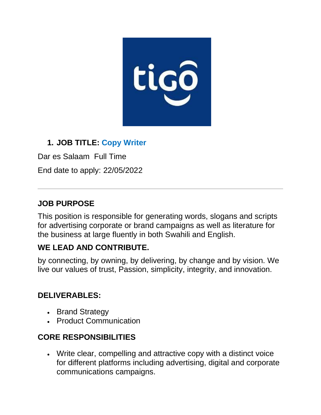

## **1. JOB TITLE: Copy Writer**

Dar es Salaam Full Time

End date to apply: 22/05/2022

### **JOB PURPOSE**

This position is responsible for generating words, slogans and scripts for advertising corporate or brand campaigns as well as literature for the business at large fluently in both Swahili and English.

#### **WE LEAD AND CONTRIBUTE.**

by connecting, by owning, by delivering, by change and by vision. We live our values of trust, Passion, simplicity, integrity, and innovation.

#### **DELIVERABLES:**

- Brand Strategy
- Product Communication

## **CORE RESPONSIBILITIES**

• Write clear, compelling and attractive copy with a distinct voice for different platforms including advertising, digital and corporate communications campaigns.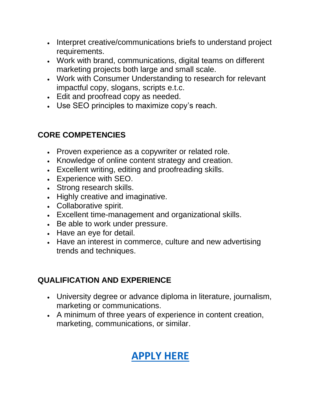- Interpret creative/communications briefs to understand project requirements.
- Work with brand, communications, digital teams on different marketing projects both large and small scale.
- Work with Consumer Understanding to research for relevant impactful copy, slogans, scripts e.t.c.
- Edit and proofread copy as needed.
- Use SEO principles to maximize copy's reach.

## **CORE COMPETENCIES**

- Proven experience as a copywriter or related role.
- Knowledge of online content strategy and creation.
- Excellent writing, editing and proofreading skills.
- Experience with SEO.
- Strong research skills.
- Highly creative and imaginative.
- Collaborative spirit.
- Excellent time-management and organizational skills.
- Be able to work under pressure.
- Have an eye for detail.
- Have an interest in commerce, culture and new advertising trends and techniques.

## **QUALIFICATION AND EXPERIENCE**

- University degree or advance diploma in literature, journalism, marketing or communications.
- A minimum of three years of experience in content creation, marketing, communications, or similar.

# **[APPLY HERE](https://www.tigo.co.tz/careers?job=8)**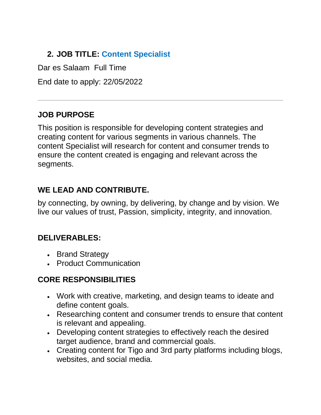# **2. JOB TITLE: Content Specialist**

Dar es Salaam Full Time

End date to apply: 22/05/2022

## **JOB PURPOSE**

This position is responsible for developing content strategies and creating content for various segments in various channels. The content Specialist will research for content and consumer trends to ensure the content created is engaging and relevant across the segments.

## **WE LEAD AND CONTRIBUTE.**

by connecting, by owning, by delivering, by change and by vision. We live our values of trust, Passion, simplicity, integrity, and innovation.

#### **DELIVERABLES:**

- Brand Strategy
- Product Communication

## **CORE RESPONSIBILITIES**

- Work with creative, marketing, and design teams to ideate and define content goals.
- Researching content and consumer trends to ensure that content is relevant and appealing.
- Developing content strategies to effectively reach the desired target audience, brand and commercial goals.
- Creating content for Tigo and 3rd party platforms including blogs, websites, and social media.